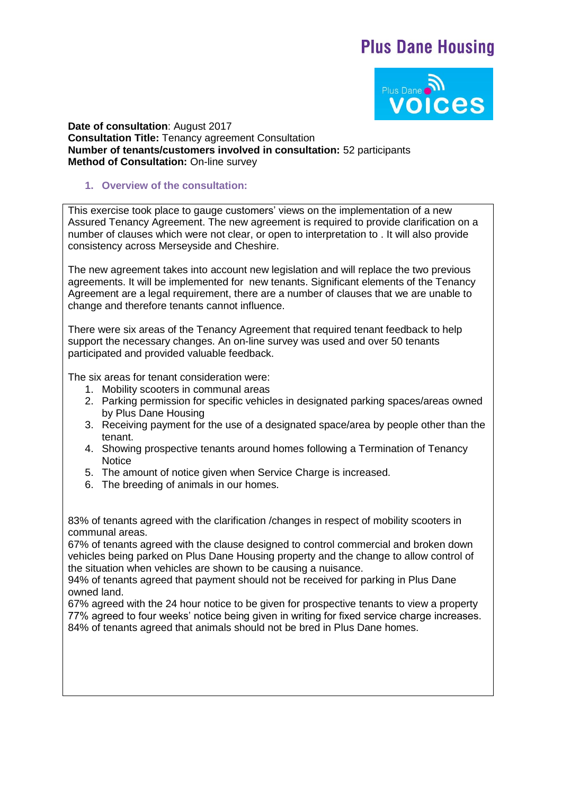# **Plus Dane Housing**



**Date of consultation**: August 2017 **Consultation Title:** Tenancy agreement Consultation **Number of tenants/customers involved in consultation:** 52 participants **Method of Consultation:** On-line survey

#### **1. Overview of the consultation:**

This exercise took place to gauge customers' views on the implementation of a new Assured Tenancy Agreement. The new agreement is required to provide clarification on a number of clauses which were not clear, or open to interpretation to . It will also provide consistency across Merseyside and Cheshire.

The new agreement takes into account new legislation and will replace the two previous agreements. It will be implemented for new tenants. Significant elements of the Tenancy Agreement are a legal requirement, there are a number of clauses that we are unable to change and therefore tenants cannot influence.

There were six areas of the Tenancy Agreement that required tenant feedback to help support the necessary changes. An on-line survey was used and over 50 tenants participated and provided valuable feedback.

The six areas for tenant consideration were:

- 1. Mobility scooters in communal areas
- 2. Parking permission for specific vehicles in designated parking spaces/areas owned by Plus Dane Housing
- 3. Receiving payment for the use of a designated space/area by people other than the tenant.
- 4. Showing prospective tenants around homes following a Termination of Tenancy **Notice**
- 5. The amount of notice given when Service Charge is increased.
- 6. The breeding of animals in our homes.

83% of tenants agreed with the clarification /changes in respect of mobility scooters in communal areas.

67% of tenants agreed with the clause designed to control commercial and broken down vehicles being parked on Plus Dane Housing property and the change to allow control of the situation when vehicles are shown to be causing a nuisance.

94% of tenants agreed that payment should not be received for parking in Plus Dane owned land.

67% agreed with the 24 hour notice to be given for prospective tenants to view a property 77% agreed to four weeks' notice being given in writing for fixed service charge increases. 84% of tenants agreed that animals should not be bred in Plus Dane homes.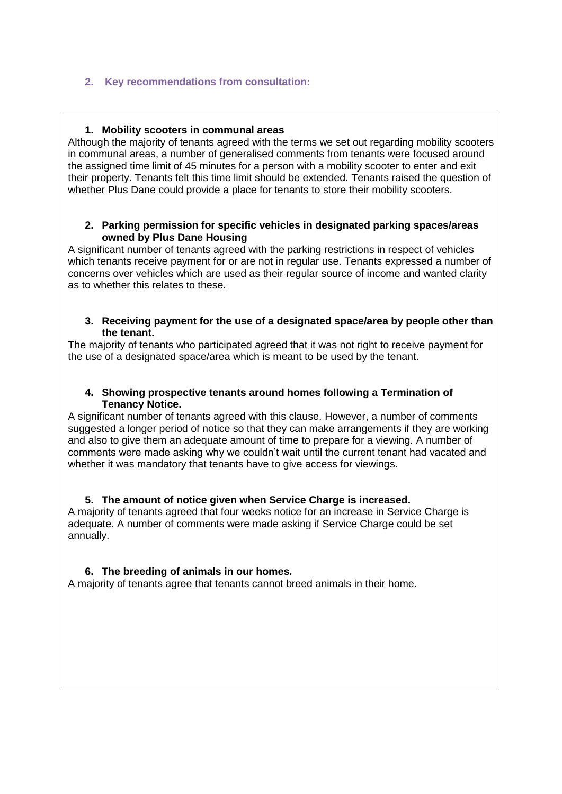# **2. Key recommendations from consultation:**

#### **1. Mobility scooters in communal areas**

Although the majority of tenants agreed with the terms we set out regarding mobility scooters in communal areas, a number of generalised comments from tenants were focused around the assigned time limit of 45 minutes for a person with a mobility scooter to enter and exit their property. Tenants felt this time limit should be extended. Tenants raised the question of whether Plus Dane could provide a place for tenants to store their mobility scooters.

#### **2. Parking permission for specific vehicles in designated parking spaces/areas owned by Plus Dane Housing**

A significant number of tenants agreed with the parking restrictions in respect of vehicles which tenants receive payment for or are not in regular use. Tenants expressed a number of concerns over vehicles which are used as their regular source of income and wanted clarity as to whether this relates to these.

#### **3. Receiving payment for the use of a designated space/area by people other than the tenant.**

The majority of tenants who participated agreed that it was not right to receive payment for the use of a designated space/area which is meant to be used by the tenant.

#### **4. Showing prospective tenants around homes following a Termination of Tenancy Notice.**

A significant number of tenants agreed with this clause. However, a number of comments suggested a longer period of notice so that they can make arrangements if they are working and also to give them an adequate amount of time to prepare for a viewing. A number of comments were made asking why we couldn't wait until the current tenant had vacated and whether it was mandatory that tenants have to give access for viewings.

## **5. The amount of notice given when Service Charge is increased.**

A majority of tenants agreed that four weeks notice for an increase in Service Charge is adequate. A number of comments were made asking if Service Charge could be set annually.

## **6. The breeding of animals in our homes.**

A majority of tenants agree that tenants cannot breed animals in their home.